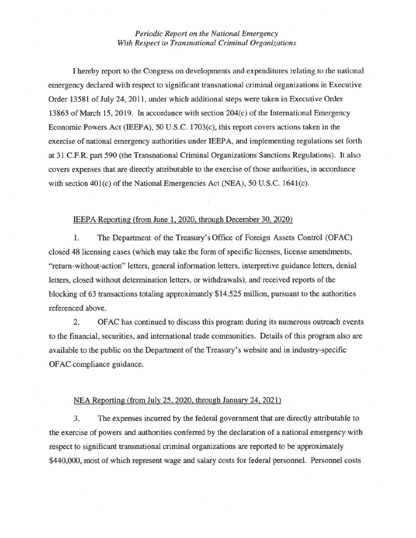## *Periodic Report on the National Emergency With Respect to Transnational Criminal Organizations*

I hereby report to the Congress on developments and expenditures relating to the national emergency declared with respect to significant transnational criminal organizations in Executive Order 13581 of July 24, 2011, under which additional steps were taken in Executive Order 13863 of March 15, 2019. In accordance with section  $204(c)$  of the International Emergency Economic Powers Act (IEEPA), 50 U.S.C. 1703(c), this report covers actions taken in the exercise of national emergency authorities under IEEP A, and implementing regulations set forth at 31 C.F.R. part 590 (the Transnational Criminal Organizations Sanctions Regulations). It also covers expenses that are directly attributable to the exercise of those authorities, in accordance with section 401(c) of the National Emergencies Act (NEA), 50 U.S.C. 1641(c).

## IEEPA Reporting (from June 1, 2020, through December 30, 2020)

1. The Department of the Treasury's Office of Foreign Assets Control (OFAC) closed 48 licensing cases (which may take the form of specific licenses, license amendments, "return-without-action" letters, general information letters, interpretive guidance letters, denial letters, closed without determination letters, or withdrawals), and received reports of the blocking of 63 transactions totaling approximately \$14.525 million, pursuant to the authorities referenced above.

2. OFAC has continued to discuss this program during its numerous outreach events to the financial, securities, and international trade communities. Details of this program also are available to the public on the Department of the Treasury's website and in industry-specific OFAC compliance guidance.

## NEA Reporting (from July 25, 2020. through January 24, 2021)

3. The expenses incurred by the federal government that are directly attributable to the exercise of powers and authorities conferred by the declaration of a national emergency with respect to significant transnational criminal organizations are reported to be approximately \$440,000, most of which represent wage and salary costs for federal personnel. Personnel costs